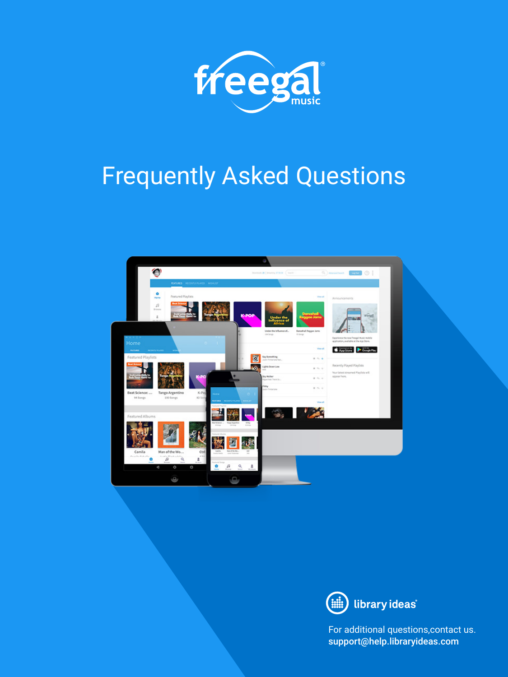

# Frequently Asked Questions





For additional questions,contact us. support@help.libraryideas.com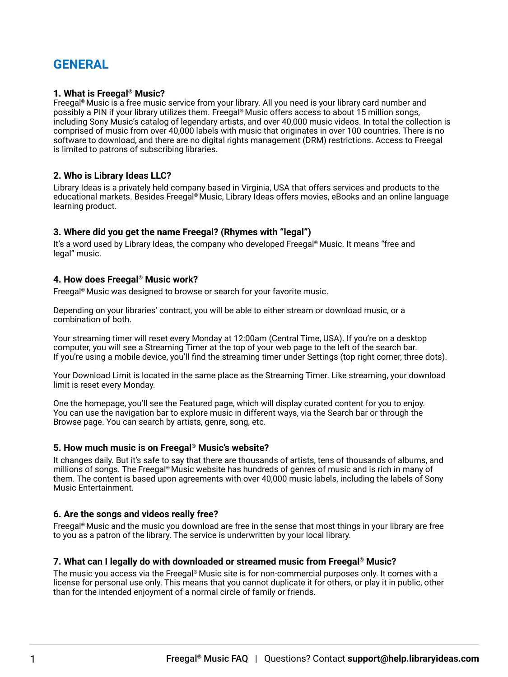# **GENERAL**

# **1. What is Freegal® Music?**

Freegal® Music is a free music service from your library. All you need is your library card number and possibly a PIN if your library utilizes them. Freegal® Music offers access to about 15 million songs, including Sony Music's catalog of legendary artists, and over 40,000 music videos. In total the collection is comprised of music from over 40,000 labels with music that originates in over 100 countries. There is no software to download, and there are no digital rights management (DRM) restrictions. Access to Freegal is limited to patrons of subscribing libraries.

# **2. Who is Library Ideas LLC?**

Library Ideas is a privately held company based in Virginia, USA that offers services and products to the educational markets. Besides Freegal® Music, Library Ideas offers movies, eBooks and an online language learning product.

# **3. Where did you get the name Freegal? (Rhymes with "legal")**

It's a word used by Library Ideas, the company who developed Freegal® Music. It means "free and legal" music.

#### **4. How does Freegal® Music work?**

Freegal® Music was designed to browse or search for your favorite music.

Depending on your libraries' contract, you will be able to either stream or download music, or a combination of both.

Your streaming timer will reset every Monday at 12:00am (Central Time, USA). If you're on a desktop computer, you will see a Streaming Timer at the top of your web page to the left of the search bar. If you're using a mobile device, you'll find the streaming timer under Settings (top right corner, three dots).

Your Download Limit is located in the same place as the Streaming Timer. Like streaming, your download limit is reset every Monday.

One the homepage, you'll see the Featured page, which will display curated content for you to enjoy. You can use the navigation bar to explore music in different ways, via the Search bar or through the Browse page. You can search by artists, genre, song, etc.

#### **5. How much music is on Freegal® Music's website?**

It changes daily. But it's safe to say that there are thousands of artists, tens of thousands of albums, and millions of songs. The Freegal® Music website has hundreds of genres of music and is rich in many of them. The content is based upon agreements with over 40,000 music labels, including the labels of Sony Music Entertainment.

# **6. Are the songs and videos really free?**

Freegal® Music and the music you download are free in the sense that most things in your library are free to you as a patron of the library. The service is underwritten by your local library.

#### **7. What can I legally do with downloaded or streamed music from Freegal® Music?**

The music you access via the Freegal® Music site is for non-commercial purposes only. It comes with a license for personal use only. This means that you cannot duplicate it for others, or play it in public, other than for the intended enjoyment of a normal circle of family or friends.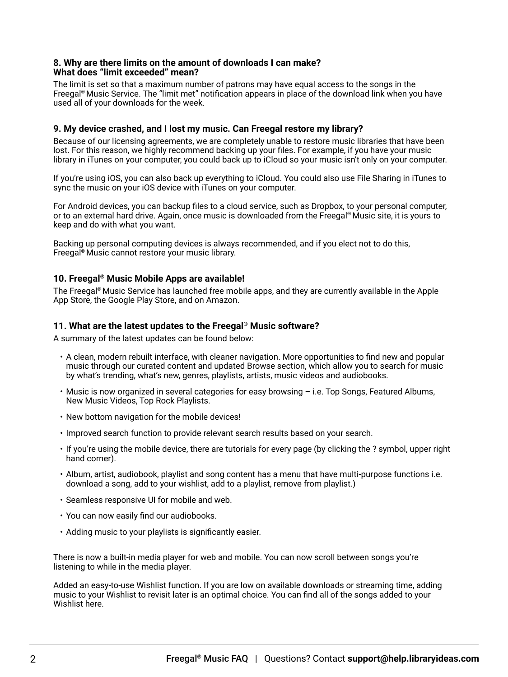#### **8. Why are there limits on the amount of downloads I can make? What does "limit exceeded" mean?**

The limit is set so that a maximum number of patrons may have equal access to the songs in the Freegal® Music Service. The "limit met" notification appears in place of the download link when you have used all of your downloads for the week.

# **9. My device crashed, and I lost my music. Can Freegal restore my library?**

Because of our licensing agreements, we are completely unable to restore music libraries that have been lost. For this reason, we highly recommend backing up your files. For example, if you have your music library in iTunes on your computer, you could back up to iCloud so your music isn't only on your computer.

If you're using iOS, you can also back up everything to iCloud. You could also use File Sharing in iTunes to sync the music on your iOS device with iTunes on your computer.

For Android devices, you can backup files to a cloud service, such as Dropbox, to your personal computer, or to an external hard drive. Again, once music is downloaded from the Freegal® Music site, it is yours to keep and do with what you want.

Backing up personal computing devices is always recommended, and if you elect not to do this, Freegal® Music cannot restore your music library.

# **10. Freegal® Music Mobile Apps are available!**

The Freegal® Music Service has launched free mobile apps, and they are currently available in the Apple App Store, the Google Play Store, and on Amazon.

#### **11. What are the latest updates to the Freegal® Music software?**

A summary of the latest updates can be found below:

- A clean, modern rebuilt interface, with cleaner navigation. More opportunities to find new and popular music through our curated content and updated Browse section, which allow you to search for music by what's trending, what's new, genres, playlists, artists, music videos and audiobooks.
- Music is now organized in several categories for easy browsing i.e. Top Songs, Featured Albums, New Music Videos, Top Rock Playlists.
- New bottom navigation for the mobile devices!
- Improved search function to provide relevant search results based on your search.
- If you're using the mobile device, there are tutorials for every page (by clicking the ? symbol, upper right hand corner).
- Album, artist, audiobook, playlist and song content has a menu that have multi-purpose functions i.e. download a song, add to your wishlist, add to a playlist, remove from playlist.)
- Seamless responsive UI for mobile and web.
- You can now easily find our audiobooks.
- Adding music to your playlists is significantly easier.

There is now a built-in media player for web and mobile. You can now scroll between songs you're listening to while in the media player.

Added an easy-to-use Wishlist function. If you are low on available downloads or streaming time, adding music to your Wishlist to revisit later is an optimal choice. You can find all of the songs added to your Wishlist here.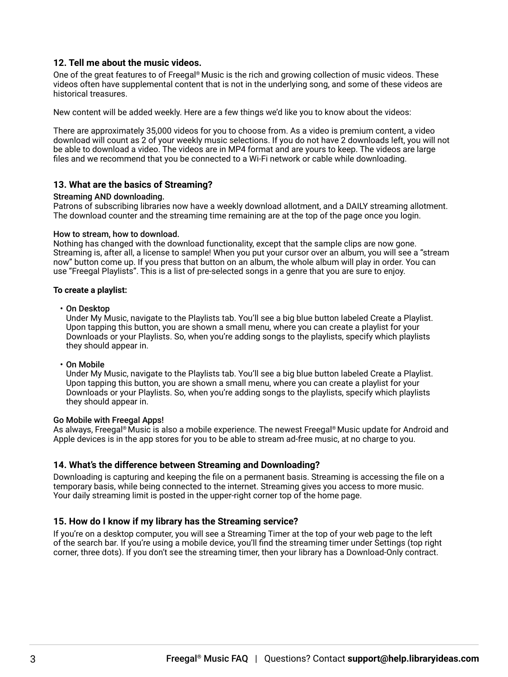#### **12. Tell me about the music videos.**

One of the great features to of Freegal® Music is the rich and growing collection of music videos. These videos often have supplemental content that is not in the underlying song, and some of these videos are historical treasures.

New content will be added weekly. Here are a few things we'd like you to know about the videos:

There are approximately 35,000 videos for you to choose from. As a video is premium content, a video download will count as 2 of your weekly music selections. If you do not have 2 downloads left, you will not be able to download a video. The videos are in MP4 format and are yours to keep. The videos are large files and we recommend that you be connected to a Wi-Fi network or cable while downloading.

# **13. What are the basics of Streaming?**

#### Streaming AND downloading.

Patrons of subscribing libraries now have a weekly download allotment, and a DAILY streaming allotment. The download counter and the streaming time remaining are at the top of the page once you login.

#### How to stream, how to download.

Nothing has changed with the download functionality, except that the sample clips are now gone. Streaming is, after all, a license to sample! When you put your cursor over an album, you will see a "stream now" button come up. If you press that button on an album, the whole album will play in order. You can use "Freegal Playlists". This is a list of pre-selected songs in a genre that you are sure to enjoy.

#### **To create a playlist:**

• On Desktop

Under My Music, navigate to the Playlists tab. You'll see a big blue button labeled Create a Playlist. Upon tapping this button, you are shown a small menu, where you can create a playlist for your Downloads or your Playlists. So, when you're adding songs to the playlists, specify which playlists they should appear in.

• On Mobile

Under My Music, navigate to the Playlists tab. You'll see a big blue button labeled Create a Playlist. Upon tapping this button, you are shown a small menu, where you can create a playlist for your Downloads or your Playlists. So, when you're adding songs to the playlists, specify which playlists they should appear in.

#### Go Mobile with Freegal Apps!

As always, Freegal® Music is also a mobile experience. The newest Freegal® Music update for Android and Apple devices is in the app stores for you to be able to stream ad-free music, at no charge to you.

#### **14. What's the difference between Streaming and Downloading?**

Downloading is capturing and keeping the file on a permanent basis. Streaming is accessing the file on a temporary basis, while being connected to the internet. Streaming gives you access to more music. Your daily streaming limit is posted in the upper-right corner top of the home page.

#### **15. How do I know if my library has the Streaming service?**

If you're on a desktop computer, you will see a Streaming Timer at the top of your web page to the left of the search bar. If you're using a mobile device, you'll find the streaming timer under Settings (top right corner, three dots). If you don't see the streaming timer, then your library has a Download-Only contract.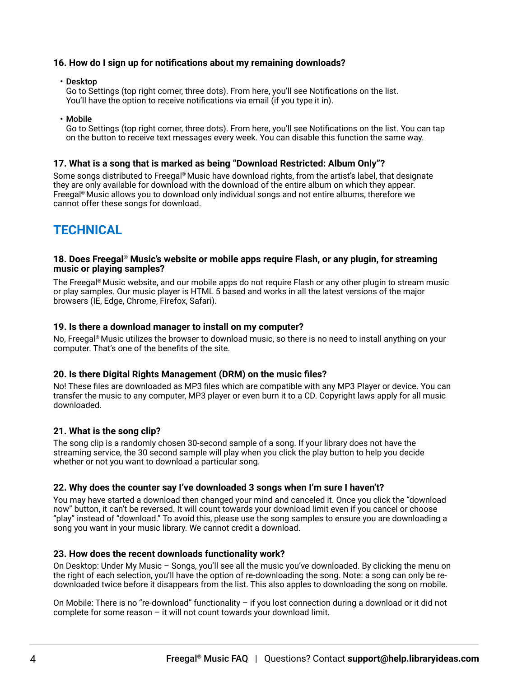# **16. How do I sign up for notifications about my remaining downloads?**

• Desktop

Go to Settings (top right corner, three dots). From here, you'll see Notifications on the list. You'll have the option to receive notifications via email (if you type it in).

• Mobile

Go to Settings (top right corner, three dots). From here, you'll see Notifications on the list. You can tap on the button to receive text messages every week. You can disable this function the same way.

#### **17. What is a song that is marked as being "Download Restricted: Album Only"?**

Some songs distributed to Freegal® Music have download rights, from the artist's label, that designate they are only available for download with the download of the entire album on which they appear. Freegal® Music allows you to download only individual songs and not entire albums, therefore we cannot offer these songs for download.

# **TECHNICAL**

#### **18. Does Freegal® Music's website or mobile apps require Flash, or any plugin, for streaming music or playing samples?**

The Freegal® Music website, and our mobile apps do not require Flash or any other plugin to stream music or play samples. Our music player is HTML 5 based and works in all the latest versions of the major browsers (IE, Edge, Chrome, Firefox, Safari).

#### **19. Is there a download manager to install on my computer?**

No, Freegal® Music utilizes the browser to download music, so there is no need to install anything on your computer. That's one of the benefits of the site.

#### **20. Is there Digital Rights Management (DRM) on the music files?**

No! These files are downloaded as MP3 files which are compatible with any MP3 Player or device. You can transfer the music to any computer, MP3 player or even burn it to a CD. Copyright laws apply for all music downloaded.

#### **21. What is the song clip?**

The song clip is a randomly chosen 30-second sample of a song. If your library does not have the streaming service, the 30 second sample will play when you click the play button to help you decide whether or not you want to download a particular song.

#### **22. Why does the counter say I've downloaded 3 songs when I'm sure I haven't?**

You may have started a download then changed your mind and canceled it. Once you click the "download now" button, it can't be reversed. It will count towards your download limit even if you cancel or choose "play" instead of "download." To avoid this, please use the song samples to ensure you are downloading a song you want in your music library. We cannot credit a download.

#### **23. How does the recent downloads functionality work?**

On Desktop: Under My Music – Songs, you'll see all the music you've downloaded. By clicking the menu on the right of each selection, you'll have the option of re-downloading the song. Note: a song can only be redownloaded twice before it disappears from the list. This also apples to downloading the song on mobile.

On Mobile: There is no "re-download" functionality – if you lost connection during a download or it did not complete for some reason – it will not count towards your download limit.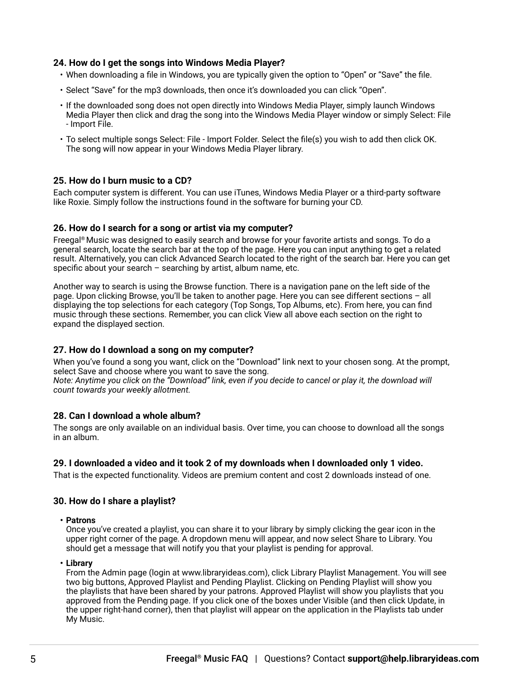# **24. How do I get the songs into Windows Media Player?**

- When downloading a file in Windows, you are typically given the option to "Open" or "Save" the file.
- Select "Save" for the mp3 downloads, then once it's downloaded you can click "Open".
- If the downloaded song does not open directly into Windows Media Player, simply launch Windows Media Player then click and drag the song into the Windows Media Player window or simply Select: File - Import File.
- To select multiple songs Select: File Import Folder. Select the file(s) you wish to add then click OK. The song will now appear in your Windows Media Player library.

#### **25. How do I burn music to a CD?**

Each computer system is different. You can use iTunes, Windows Media Player or a third-party software like Roxie. Simply follow the instructions found in the software for burning your CD.

#### **26. How do I search for a song or artist via my computer?**

Freegal® Music was designed to easily search and browse for your favorite artists and songs. To do a general search, locate the search bar at the top of the page. Here you can input anything to get a related result. Alternatively, you can click Advanced Search located to the right of the search bar. Here you can get specific about your search  $-$  searching by artist, album name, etc.

Another way to search is using the Browse function. There is a navigation pane on the left side of the page. Upon clicking Browse, you'll be taken to another page. Here you can see different sections – all displaying the top selections for each category (Top Songs, Top Albums, etc). From here, you can find music through these sections. Remember, you can click View all above each section on the right to expand the displayed section.

#### **27. How do I download a song on my computer?**

When you've found a song you want, click on the "Download" link next to your chosen song. At the prompt, select Save and choose where you want to save the song.

*Note: Anytime you click on the "Download" link, even if you decide to cancel or play it, the download will count towards your weekly allotment.*

#### **28. Can I download a whole album?**

The songs are only available on an individual basis. Over time, you can choose to download all the songs in an album.

#### **29. I downloaded a video and it took 2 of my downloads when I downloaded only 1 video.**

That is the expected functionality. Videos are premium content and cost 2 downloads instead of one.

#### **30. How do I share a playlist?**

**• Patrons**

Once you've created a playlist, you can share it to your library by simply clicking the gear icon in the upper right corner of the page. A dropdown menu will appear, and now select Share to Library. You should get a message that will notify you that your playlist is pending for approval.

**• Library**

From the Admin page (login at www.libraryideas.com), click Library Playlist Management. You will see two big buttons, Approved Playlist and Pending Playlist. Clicking on Pending Playlist will show you the playlists that have been shared by your patrons. Approved Playlist will show you playlists that you approved from the Pending page. If you click one of the boxes under Visible (and then click Update, in the upper right-hand corner), then that playlist will appear on the application in the Playlists tab under My Music.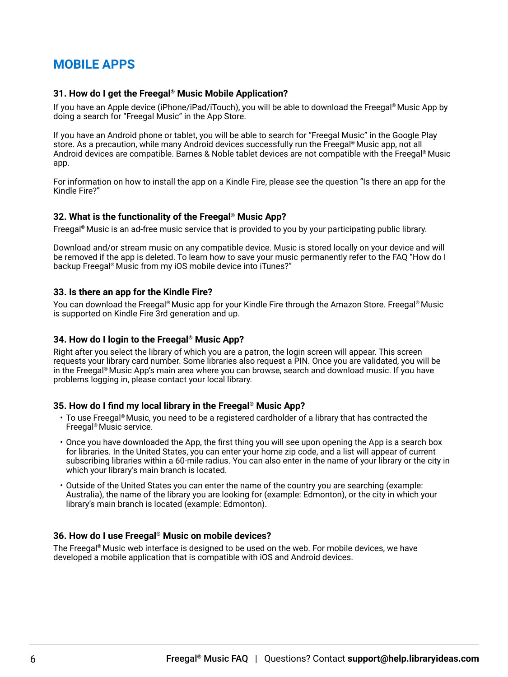# **MOBILE APPS**

#### **31. How do I get the Freegal® Music Mobile Application?**

If you have an Apple device (iPhone/iPad/iTouch), you will be able to download the Freegal® Music App by doing a search for "Freegal Music" in the App Store.

If you have an Android phone or tablet, you will be able to search for "Freegal Music" in the Google Play store. As a precaution, while many Android devices successfully run the Freegal® Music app, not all Android devices are compatible. Barnes & Noble tablet devices are not compatible with the Freegal® Music app.

For information on how to install the app on a Kindle Fire, please see the question "Is there an app for the Kindle Fire?"

#### **32. What is the functionality of the Freegal® Music App?**

Freegal® Music is an ad-free music service that is provided to you by your participating public library.

Download and/or stream music on any compatible device. Music is stored locally on your device and will be removed if the app is deleted. To learn how to save your music permanently refer to the FAQ "How do I backup Freegal® Music from my iOS mobile device into iTunes?"

#### **33. Is there an app for the Kindle Fire?**

You can download the Freegal® Music app for your Kindle Fire through the Amazon Store. Freegal® Music is supported on Kindle Fire 3rd generation and up.

#### **34. How do I login to the Freegal® Music App?**

Right after you select the library of which you are a patron, the login screen will appear. This screen requests your library card number. Some libraries also request a PIN. Once you are validated, you will be in the Freegal® Music App's main area where you can browse, search and download music. If you have problems logging in, please contact your local library.

#### **35. How do I find my local library in the Freegal® Music App?**

- To use Freegal® Music, you need to be a registered cardholder of a library that has contracted the Freegal® Music service.
- Once you have downloaded the App, the first thing you will see upon opening the App is a search box for libraries. In the United States, you can enter your home zip code, and a list will appear of current subscribing libraries within a 60-mile radius. You can also enter in the name of your library or the city in which your library's main branch is located.
- Outside of the United States you can enter the name of the country you are searching (example: Australia), the name of the library you are looking for (example: Edmonton), or the city in which your library's main branch is located (example: Edmonton).

#### **36. How do I use Freegal® Music on mobile devices?**

The Freegal® Music web interface is designed to be used on the web. For mobile devices, we have developed a mobile application that is compatible with iOS and Android devices.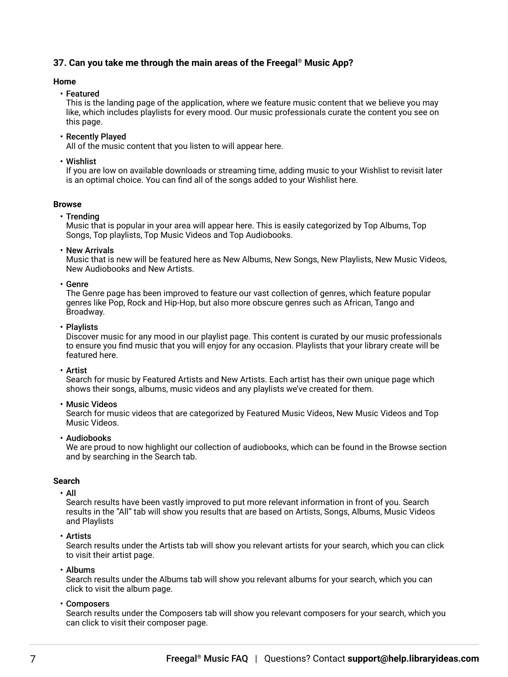# **37. Can you take me through the main areas of the Freegal® Music App?**

#### **Home**

• Featured

This is the landing page of the application, where we feature music content that we believe you may like, which includes playlists for every mood. Our music professionals curate the content you see on this page.

• Recently Played

All of the music content that you listen to will appear here.

• Wishlist

If you are low on available downloads or streaming time, adding music to your Wishlist to revisit later is an optimal choice. You can find all of the songs added to your Wishlist here.

#### **Browse**

• Trending

Music that is popular in your area will appear here. This is easily categorized by Top Albums, Top Songs, Top playlists, Top Music Videos and Top Audiobooks.

• New Arrivals

Music that is new will be featured here as New Albums, New Songs, New Playlists, New Music Videos, New Audiobooks and New Artists.

• Genre

The Genre page has been improved to feature our vast collection of genres, which feature popular genres like Pop, Rock and Hip-Hop, but also more obscure genres such as African, Tango and Broadway.

• Playlists

Discover music for any mood in our playlist page. This content is curated by our music professionals to ensure you find music that you will enjoy for any occasion. Playlists that your library create will be featured here.

• Artist

Search for music by Featured Artists and New Artists. Each artist has their own unique page which shows their songs, albums, music videos and any playlists we've created for them.

• Music Videos

Search for music videos that are categorized by Featured Music Videos, New Music Videos and Top Music Videos.

• Audiobooks

We are proud to now highlight our collection of audiobooks, which can be found in the Browse section and by searching in the Search tab.

#### **Search**

• All

Search results have been vastly improved to put more relevant information in front of you. Search results in the "All" tab will show you results that are based on Artists, Songs, Albums, Music Videos and Playlists

• Artists

Search results under the Artists tab will show you relevant artists for your search, which you can click to visit their artist page.

• Albums

Search results under the Albums tab will show you relevant albums for your search, which you can click to visit the album page.

• Composers

Search results under the Composers tab will show you relevant composers for your search, which you can click to visit their composer page.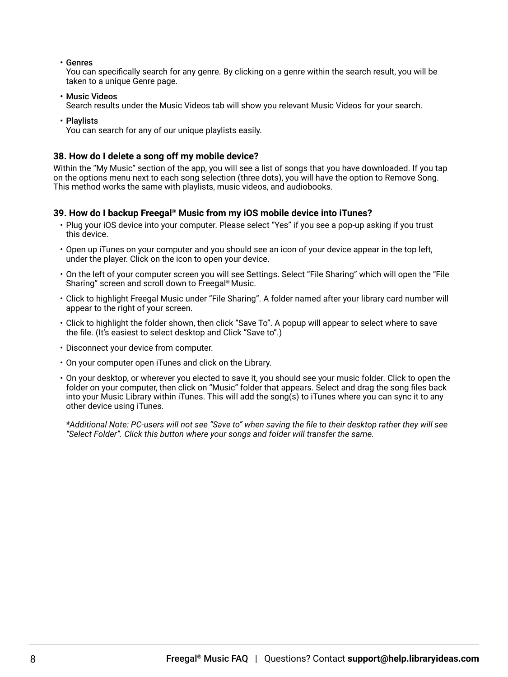• Genres

You can specifically search for any genre. By clicking on a genre within the search result, you will be taken to a unique Genre page.

- Music Videos Search results under the Music Videos tab will show you relevant Music Videos for your search.
- Playlists

You can search for any of our unique playlists easily.

#### **38. How do I delete a song off my mobile device?**

Within the "My Music" section of the app, you will see a list of songs that you have downloaded. If you tap on the options menu next to each song selection (three dots), you will have the option to Remove Song. This method works the same with playlists, music videos, and audiobooks.

#### **39. How do I backup Freegal® Music from my iOS mobile device into iTunes?**

- Plug your iOS device into your computer. Please select "Yes" if you see a pop-up asking if you trust this device.
- Open up iTunes on your computer and you should see an icon of your device appear in the top left, under the player. Click on the icon to open your device.
- On the left of your computer screen you will see Settings. Select "File Sharing" which will open the "File Sharing" screen and scroll down to Freegal® Music.
- Click to highlight Freegal Music under "File Sharing". A folder named after your library card number will appear to the right of your screen.
- Click to highlight the folder shown, then click "Save To". A popup will appear to select where to save the file. (It's easiest to select desktop and Click "Save to".)
- Disconnect your device from computer.
- On your computer open iTunes and click on the Library.
- On your desktop, or wherever you elected to save it, you should see your music folder. Click to open the folder on your computer, then click on "Music" folder that appears. Select and drag the song files back into your Music Library within iTunes. This will add the song(s) to iTunes where you can sync it to any other device using iTunes.

*\*Additional Note: PC-users will not see "Save to" when saving the file to their desktop rather they will see "Select Folder". Click this button where your songs and folder will transfer the same.*